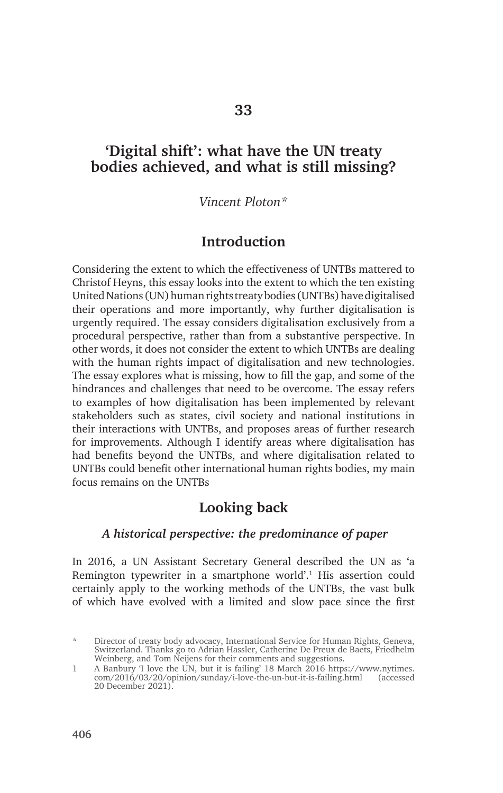## **'Digital shift': what have the UN treaty bodies achieved, and what is still missing?**

*Vincent Ploton\**

## **Introduction**

Considering the extent to which the effectiveness of UNTBs mattered to Christof Heyns, this essay looks into the extent to which the ten existing United Nations (UN) human rights treaty bodies (UNTBs) have digitalised their operations and more importantly, why further digitalisation is urgently required. The essay considers digitalisation exclusively from a procedural perspective, rather than from a substantive perspective. In other words, it does not consider the extent to which UNTBs are dealing with the human rights impact of digitalisation and new technologies. The essay explores what is missing, how to fill the gap, and some of the hindrances and challenges that need to be overcome. The essay refers to examples of how digitalisation has been implemented by relevant stakeholders such as states, civil society and national institutions in their interactions with UNTBs, and proposes areas of further research for improvements. Although I identify areas where digitalisation has had benefits beyond the UNTBs, and where digitalisation related to UNTBs could benefit other international human rights bodies, my main focus remains on the UNTBs

## **Looking back**

#### *A historical perspective: the predominance of paper*

In 2016, a UN Assistant Secretary General described the UN as 'a Remington typewriter in a smartphone world'.<sup>1</sup> His assertion could certainly apply to the working methods of the UNTBs, the vast bulk of which have evolved with a limited and slow pace since the first

<sup>\*</sup> Director of treaty body advocacy, International Service for Human Rights, Geneva, Switzerland. Thanks go to Adrian Hassler, Catherine De Preux de Baets, Friedhelm Weinberg, and Tom Neijens for their comments and suggestions.

<sup>1</sup> A Banbury 'I love the UN, but it is failing' 18 March 2016 https://www.nytimes. com/2016/03/20/opinion/sunday/i-love-the-un-but-it-is-failing.html (accessed 20 December 2021).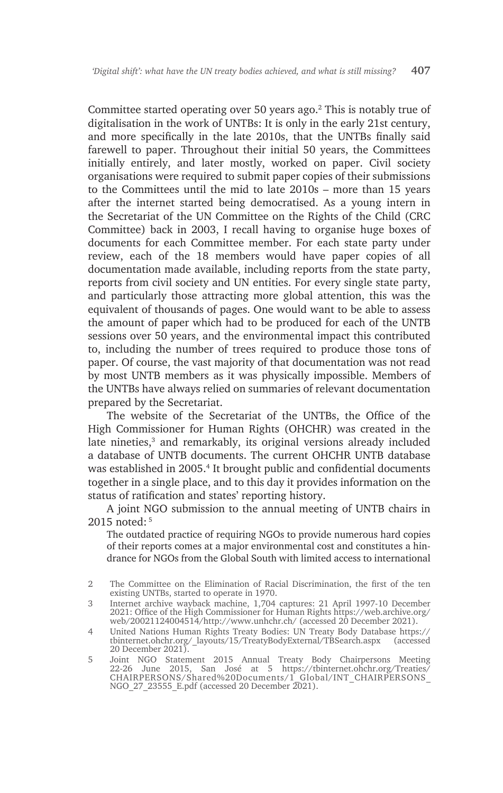Committee started operating over 50 years ago.2 This is notably true of digitalisation in the work of UNTBs: It is only in the early 21st century, and more specifically in the late 2010s, that the UNTBs finally said farewell to paper. Throughout their initial 50 years, the Committees initially entirely, and later mostly, worked on paper. Civil society organisations were required to submit paper copies of their submissions to the Committees until the mid to late 2010s – more than 15 years after the internet started being democratised. As a young intern in the Secretariat of the UN Committee on the Rights of the Child (CRC Committee) back in 2003, I recall having to organise huge boxes of documents for each Committee member. For each state party under review, each of the 18 members would have paper copies of all documentation made available, including reports from the state party, reports from civil society and UN entities. For every single state party, and particularly those attracting more global attention, this was the equivalent of thousands of pages. One would want to be able to assess the amount of paper which had to be produced for each of the UNTB sessions over 50 years, and the environmental impact this contributed to, including the number of trees required to produce those tons of paper. Of course, the vast majority of that documentation was not read by most UNTB members as it was physically impossible. Members of the UNTBs have always relied on summaries of relevant documentation prepared by the Secretariat.

The website of the Secretariat of the UNTBs, the Office of the High Commissioner for Human Rights (OHCHR) was created in the late nineties,<sup>3</sup> and remarkably, its original versions already included a database of UNTB documents. The current OHCHR UNTB database was established in 2005.<sup>4</sup> It brought public and confidential documents together in a single place, and to this day it provides information on the status of ratification and states' reporting history.

A joint NGO submission to the annual meeting of UNTB chairs in 2015 noted: 5

The outdated practice of requiring NGOs to provide numerous hard copies of their reports comes at a major environmental cost and constitutes a hindrance for NGOs from the Global South with limited access to international

<sup>2</sup> The Committee on the Elimination of Racial Discrimination, the first of the ten existing UNTBs, started to operate in 1970.

<sup>3</sup> Internet archive wayback machine, 1,704 captures: 21 April 1997-10 December 2021: Office of the High Commissioner for Human Rights https://web.archive.org/ web/20021124004514/http://www.unhchr.ch/ (accessed 20 December 2021).

<sup>4</sup> United Nations Human Rights Treaty Bodies: UN Treaty Body Database https:// tbinternet.ohchr.org/\_layouts/15/TreatyBodyExternal/TBSearch.aspx 20 December 2021).

<sup>5</sup> Joint NGO Statement 2015 Annual Treaty Body Chairpersons Meeting 22-26 June 2015, San José at 5 https://tbinternet.ohchr.org/Treaties/ CHAIRPERSONS/Shared%20Documents/1\_Global/INT\_CHAIRPERSONS\_ NGO\_27\_23555\_E.pdf (accessed 20 December 2021).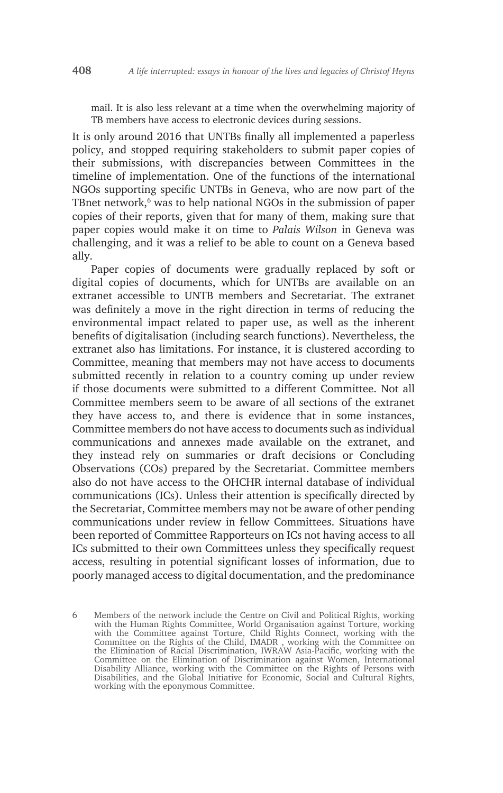mail. It is also less relevant at a time when the overwhelming majority of TB members have access to electronic devices during sessions.

It is only around 2016 that UNTBs finally all implemented a paperless policy, and stopped requiring stakeholders to submit paper copies of their submissions, with discrepancies between Committees in the timeline of implementation. One of the functions of the international NGOs supporting specific UNTBs in Geneva, who are now part of the TBnet network,<sup>6</sup> was to help national NGOs in the submission of paper copies of their reports, given that for many of them, making sure that paper copies would make it on time to *Palais Wilson* in Geneva was challenging, and it was a relief to be able to count on a Geneva based ally.

Paper copies of documents were gradually replaced by soft or digital copies of documents, which for UNTBs are available on an extranet accessible to UNTB members and Secretariat. The extranet was definitely a move in the right direction in terms of reducing the environmental impact related to paper use, as well as the inherent benefits of digitalisation (including search functions). Nevertheless, the extranet also has limitations. For instance, it is clustered according to Committee, meaning that members may not have access to documents submitted recently in relation to a country coming up under review if those documents were submitted to a different Committee. Not all Committee members seem to be aware of all sections of the extranet they have access to, and there is evidence that in some instances, Committee members do not have access to documents such as individual communications and annexes made available on the extranet, and they instead rely on summaries or draft decisions or Concluding Observations (COs) prepared by the Secretariat. Committee members also do not have access to the OHCHR internal database of individual communications (ICs). Unless their attention is specifically directed by the Secretariat, Committee members may not be aware of other pending communications under review in fellow Committees. Situations have been reported of Committee Rapporteurs on ICs not having access to all ICs submitted to their own Committees unless they specifically request access, resulting in potential significant losses of information, due to poorly managed access to digital documentation, and the predominance

<sup>6</sup> Members of the network include the Centre on Civil and Political Rights, working with the Human Rights Committee, World Organisation against Torture, working with the Committee against Torture, Child Rights Connect, working with the Committee on the Rights of the Child, IMADR , working with the Committee on the Elimination of Racial Discrimination, IWRAW Asia-Pacific, working with the Committee on the Elimination of Discrimination against Women, International Disability Alliance, working with the Committee on the Rights of Persons with Disabilities, and the Global Initiative for Economic, Social and Cultural Rights, working with the eponymous Committee.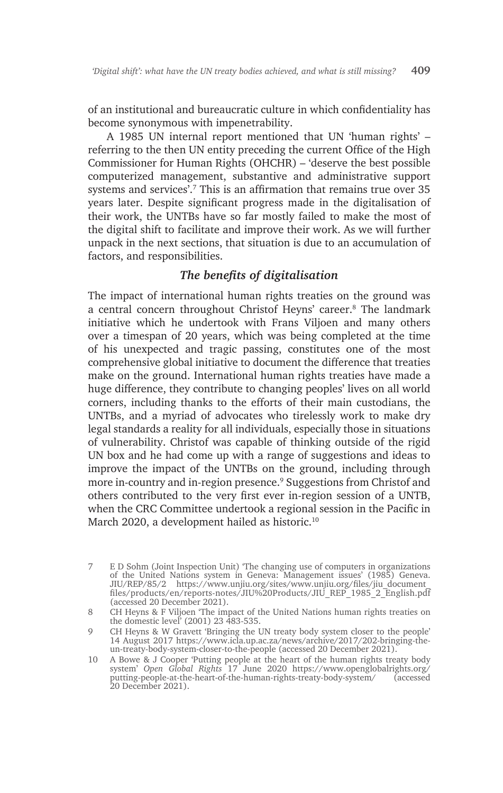of an institutional and bureaucratic culture in which confidentiality has become synonymous with impenetrability.

A 1985 UN internal report mentioned that UN 'human rights' – referring to the then UN entity preceding the current Office of the High Commissioner for Human Rights (OHCHR) – 'deserve the best possible computerized management, substantive and administrative support systems and services'.7 This is an affirmation that remains true over 35 years later. Despite significant progress made in the digitalisation of their work, the UNTBs have so far mostly failed to make the most of the digital shift to facilitate and improve their work. As we will further unpack in the next sections, that situation is due to an accumulation of factors, and responsibilities.

### *The benefits of digitalisation*

The impact of international human rights treaties on the ground was a central concern throughout Christof Heyns' career.<sup>8</sup> The landmark initiative which he undertook with Frans Viljoen and many others over a timespan of 20 years, which was being completed at the time of his unexpected and tragic passing, constitutes one of the most comprehensive global initiative to document the difference that treaties make on the ground. International human rights treaties have made a huge difference, they contribute to changing peoples' lives on all world corners, including thanks to the efforts of their main custodians, the UNTBs, and a myriad of advocates who tirelessly work to make dry legal standards a reality for all individuals, especially those in situations of vulnerability. Christof was capable of thinking outside of the rigid UN box and he had come up with a range of suggestions and ideas to improve the impact of the UNTBs on the ground, including through more in-country and in-region presence.<sup>9</sup> Suggestions from Christof and others contributed to the very first ever in-region session of a UNTB, when the CRC Committee undertook a regional session in the Pacific in March 2020, a development hailed as historic.<sup>10</sup>

<sup>7</sup> E D Sohm (Joint Inspection Unit) 'The changing use of computers in organizations of the United Nations system in Geneva: Management issues' (1985) Geneva. JIU/REP/85/2 https://www.unjiu.org/sites/www.unjiu.org/files/jiu\_document\_ files/products/en/reports-notes/JIU%20Products/JIU\_REP\_1985\_2\_English.pdf (accessed 20 December 2021).

<sup>8</sup> CH Heyns & F Viljoen 'The impact of the United Nations human rights treaties on the domestic level' (2001) 23 483-535.

<sup>9</sup> CH Heyns & W Gravett 'Bringing the UN treaty body system closer to the people' 14 August 2017 https://www.icla.up.ac.za/news/archive/2017/202-bringing-theun-treaty-body-system-closer-to-the-people (accessed 20 December 2021).

<sup>10</sup> A Bowe & J Cooper 'Putting people at the heart of the human rights treaty body system' *Open Global Rights* 17 June 2020 https://www.openglobalrights.org/ putting-people-at-the-heart-of-the-human-rights-treaty-body-system/ (accessed 20 December 2021).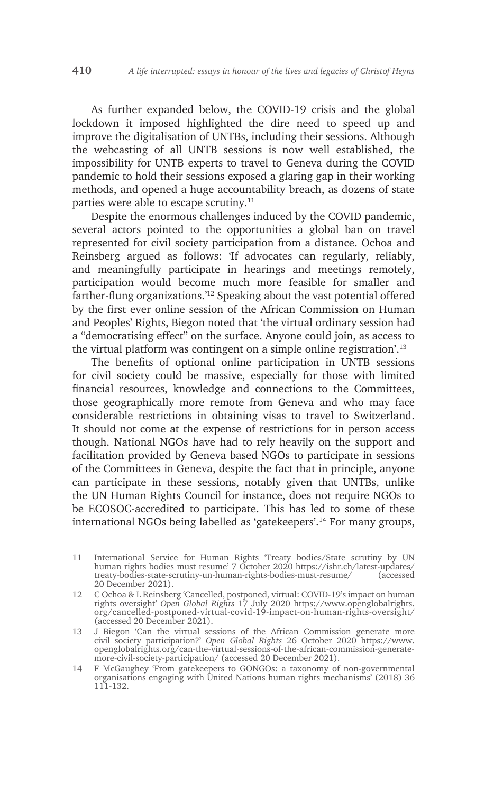As further expanded below, the COVID-19 crisis and the global lockdown it imposed highlighted the dire need to speed up and improve the digitalisation of UNTBs, including their sessions. Although the webcasting of all UNTB sessions is now well established, the impossibility for UNTB experts to travel to Geneva during the COVID pandemic to hold their sessions exposed a glaring gap in their working methods, and opened a huge accountability breach, as dozens of state parties were able to escape scrutiny.<sup>11</sup>

Despite the enormous challenges induced by the COVID pandemic, several actors pointed to the opportunities a global ban on travel represented for civil society participation from a distance. Ochoa and Reinsberg argued as follows: 'If advocates can regularly, reliably, and meaningfully participate in hearings and meetings remotely, participation would become much more feasible for smaller and farther-flung organizations.'12 Speaking about the vast potential offered by the first ever online session of the African Commission on Human and Peoples' Rights, Biegon noted that 'the virtual ordinary session had a "democratising effect" on the surface. Anyone could join, as access to the virtual platform was contingent on a simple online registration'.<sup>13</sup>

The benefits of optional online participation in UNTB sessions for civil society could be massive, especially for those with limited financial resources, knowledge and connections to the Committees, those geographically more remote from Geneva and who may face considerable restrictions in obtaining visas to travel to Switzerland. It should not come at the expense of restrictions for in person access though. National NGOs have had to rely heavily on the support and facilitation provided by Geneva based NGOs to participate in sessions of the Committees in Geneva, despite the fact that in principle, anyone can participate in these sessions, notably given that UNTBs, unlike the UN Human Rights Council for instance, does not require NGOs to be ECOSOC-accredited to participate. This has led to some of these international NGOs being labelled as 'gatekeepers'.14 For many groups,

- 11 International Service for Human Rights 'Treaty bodies/State scrutiny by UN human rights bodies must resume' 7 October 2020 https://ishr.ch/latest-updates/ treaty-bodies-state-scrutiny-un-human-rights-bodies-must-resume/ (accessed 20 December 2021).
- 12 C Ochoa & L Reinsberg 'Cancelled, postponed, virtual: COVID-19's impact on human rights oversight' *Open Global Rights* 17 July 2020 https://www.openglobalrights. org/cancelled-postponed-virtual-covid-19-impact-on-human-rights-oversight/ (accessed 20 December 2021).
- 13 J Biegon 'Can the virtual sessions of the African Commission generate more civil society participation?' *Open Global Rights* 26 October 2020 https://www. openglobalrights.org/can-the-virtual-sessions-of-the-african-commission-generatemore-civil-society-participation/ (accessed 20 December 2021).

14 F McGaughey 'From gatekeepers to GONGOs: a taxonomy of non-governmental organisations engaging with United Nations human rights mechanisms' (2018) 36 111-132.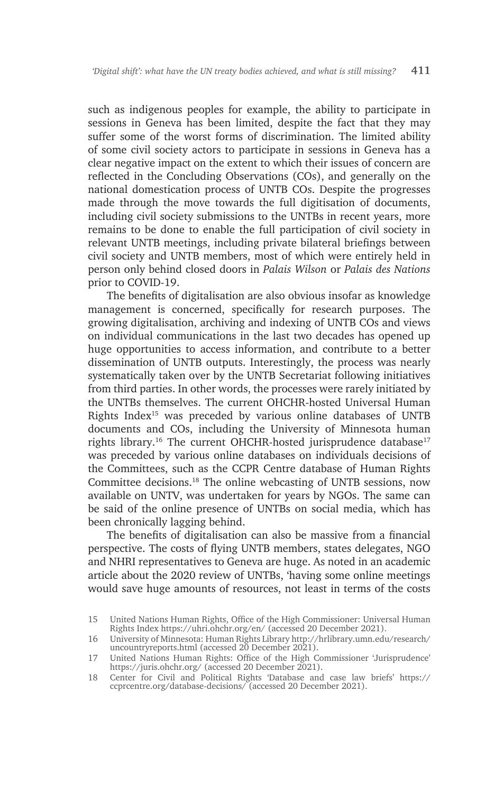such as indigenous peoples for example, the ability to participate in sessions in Geneva has been limited, despite the fact that they may suffer some of the worst forms of discrimination. The limited ability of some civil society actors to participate in sessions in Geneva has a clear negative impact on the extent to which their issues of concern are reflected in the Concluding Observations (COs), and generally on the national domestication process of UNTB COs. Despite the progresses made through the move towards the full digitisation of documents, including civil society submissions to the UNTBs in recent years, more remains to be done to enable the full participation of civil society in relevant UNTB meetings, including private bilateral briefings between civil society and UNTB members, most of which were entirely held in person only behind closed doors in *Palais Wilson* or *Palais des Nations* prior to COVID-19.

The benefits of digitalisation are also obvious insofar as knowledge management is concerned, specifically for research purposes. The growing digitalisation, archiving and indexing of UNTB COs and views on individual communications in the last two decades has opened up huge opportunities to access information, and contribute to a better dissemination of UNTB outputs. Interestingly, the process was nearly systematically taken over by the UNTB Secretariat following initiatives from third parties. In other words, the processes were rarely initiated by the UNTBs themselves. The current OHCHR-hosted Universal Human Rights Index15 was preceded by various online databases of UNTB documents and COs, including the University of Minnesota human rights library.<sup>16</sup> The current OHCHR-hosted jurisprudence database<sup>17</sup> was preceded by various online databases on individuals decisions of the Committees, such as the CCPR Centre database of Human Rights Committee decisions.18 The online webcasting of UNTB sessions, now available on UNTV, was undertaken for years by NGOs. The same can be said of the online presence of UNTBs on social media, which has been chronically lagging behind.

The benefits of digitalisation can also be massive from a financial perspective. The costs of flying UNTB members, states delegates, NGO and NHRI representatives to Geneva are huge. As noted in an academic article about the 2020 review of UNTBs, 'having some online meetings would save huge amounts of resources, not least in terms of the costs

<sup>15</sup> United Nations Human Rights, Office of the High Commissioner: Universal Human Rights Index https://uhri.ohchr.org/en/ (accessed 20 December 2021).

<sup>16</sup> University of Minnesota: Human Rights Library http://hrlibrary.umn.edu/research/ uncountryreports.html (accessed 20 December 2021).

<sup>17</sup> United Nations Human Rights: Office of the High Commissioner 'Jurisprudence' https://juris.ohchr.org/ (accessed 20 December 2021).

<sup>18</sup> Center for Civil and Political Rights 'Database and case law briefs' https:// ccprcentre.org/database-decisions/ (accessed 20 December 2021).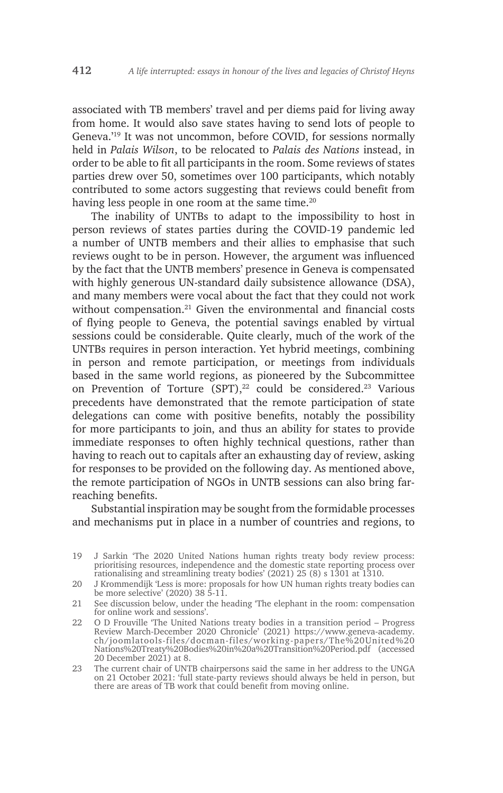associated with TB members' travel and per diems paid for living away from home. It would also save states having to send lots of people to Geneva.'19 It was not uncommon, before COVID, for sessions normally held in *Palais Wilson*, to be relocated to *Palais des Nations* instead, in order to be able to fit all participants in the room. Some reviews of states parties drew over 50, sometimes over 100 participants, which notably contributed to some actors suggesting that reviews could benefit from having less people in one room at the same time.<sup>20</sup>

The inability of UNTBs to adapt to the impossibility to host in person reviews of states parties during the COVID-19 pandemic led a number of UNTB members and their allies to emphasise that such reviews ought to be in person. However, the argument was influenced by the fact that the UNTB members' presence in Geneva is compensated with highly generous UN-standard daily subsistence allowance (DSA), and many members were vocal about the fact that they could not work without compensation.<sup>21</sup> Given the environmental and financial costs of flying people to Geneva, the potential savings enabled by virtual sessions could be considerable. Quite clearly, much of the work of the UNTBs requires in person interaction. Yet hybrid meetings, combining in person and remote participation, or meetings from individuals based in the same world regions, as pioneered by the Subcommittee on Prevention of Torture (SPT), $^{22}$  could be considered.<sup>23</sup> Various precedents have demonstrated that the remote participation of state delegations can come with positive benefits, notably the possibility for more participants to join, and thus an ability for states to provide immediate responses to often highly technical questions, rather than having to reach out to capitals after an exhausting day of review, asking for responses to be provided on the following day. As mentioned above, the remote participation of NGOs in UNTB sessions can also bring farreaching benefits.

Substantial inspiration may be sought from the formidable processes and mechanisms put in place in a number of countries and regions, to

- 21 See discussion below, under the heading 'The elephant in the room: compensation for online work and sessions'.
- 22 O D Frouville 'The United Nations treaty bodies in a transition period Progress Review March-December 2020 Chronicle' (2021) https://www.geneva-academy. ch/joomlatools-files/docman-files/working-papers/The%20United%20 Nations%20Treaty%20Bodies%20in%20a%20Transition%20Period.pdf (accessed 20 December 2021) at 8.
- 23 The current chair of UNTB chairpersons said the same in her address to the UNGA on 21 October 2021: 'full state-party reviews should always be held in person, but there are areas of TB work that could benefit from moving online.

<sup>19</sup> J Sarkin 'The 2020 United Nations human rights treaty body review process: prioritising resources, independence and the domestic state reporting process over rationalising and streamlining treaty bodies' (2021) 25 (8) s 1301 at 1310.

<sup>20</sup> J Krommendijk 'Less is more: proposals for how UN human rights treaty bodies can be more selective' (2020) 38 5-11.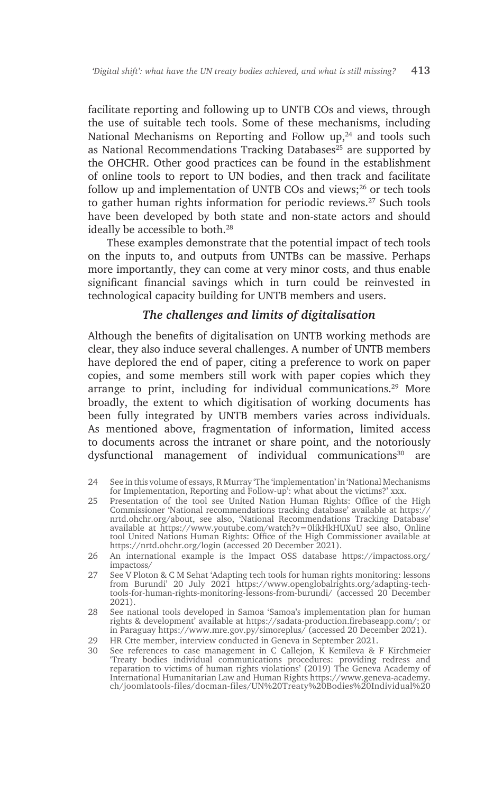facilitate reporting and following up to UNTB COs and views, through the use of suitable tech tools. Some of these mechanisms, including National Mechanisms on Reporting and Follow up,<sup>24</sup> and tools such as National Recommendations Tracking Databases<sup>25</sup> are supported by the OHCHR. Other good practices can be found in the establishment of online tools to report to UN bodies, and then track and facilitate follow up and implementation of UNTB COs and views; $26$  or tech tools to gather human rights information for periodic reviews.<sup>27</sup> Such tools have been developed by both state and non-state actors and should ideally be accessible to both.<sup>28</sup>

These examples demonstrate that the potential impact of tech tools on the inputs to, and outputs from UNTBs can be massive. Perhaps more importantly, they can come at very minor costs, and thus enable significant financial savings which in turn could be reinvested in technological capacity building for UNTB members and users.

#### *The challenges and limits of digitalisation*

Although the benefits of digitalisation on UNTB working methods are clear, they also induce several challenges. A number of UNTB members have deplored the end of paper, citing a preference to work on paper copies, and some members still work with paper copies which they arrange to print, including for individual communications. $29$  More broadly, the extent to which digitisation of working documents has been fully integrated by UNTB members varies across individuals. As mentioned above, fragmentation of information, limited access to documents across the intranet or share point, and the notoriously dysfunctional management of individual communications<sup>30</sup> are

<sup>24</sup> See in this volume of essays, R Murray 'The 'implementation' in 'National Mechanisms for Implementation, Reporting and Follow-up': what about the victims?' xxx.

<sup>25</sup> Presentation of the tool see United Nation Human Rights: Office of the High Commissioner 'National recommendations tracking database' available at https:// nrtd.ohchr.org/about, see also, 'National Recommendations Tracking Database' available at https://www.youtube.com/watch?v=0likHkHUXuU see also, Online tool United Nations Human Rights: Office of the High Commissioner available at https://nrtd.ohchr.org/login (accessed 20 December 2021).

<sup>26</sup> An international example is the Impact OSS database https://impactoss.org/ impactoss/

<sup>27</sup> See V Ploton & C M Sehat 'Adapting tech tools for human rights monitoring: lessons from Burundi' 20 July 2021 https://www.openglobalrights.org/adapting-techtools-for-human-rights-monitoring-lessons-from-burundi/ (accessed 20 December 2021).

<sup>28</sup> See national tools developed in Samoa 'Samoa's implementation plan for human rights & development' available at https://sadata-production.firebaseapp.com/; or in Paraguay https://www.mre.gov.py/simoreplus/ (accessed 20 December 2021).

<sup>29</sup> HR Ctte member, interview conducted in Geneva in September 2021.

<sup>30</sup> See references to case management in C Callejon, K Kemileva & F Kirchmeier 'Treaty bodies individual communications procedures: providing redress and reparation to victims of human rights violations' (2019) The Geneva Academy of International Humanitarian Law and Human Rights https://www.geneva-academy. ch/joomlatools-files/docman-files/UN%20Treaty%20Bodies%20Individual%20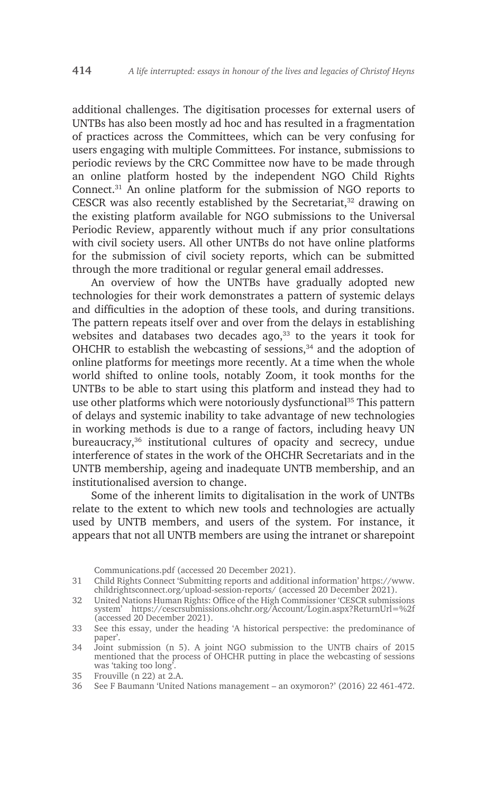additional challenges. The digitisation processes for external users of UNTBs has also been mostly ad hoc and has resulted in a fragmentation of practices across the Committees, which can be very confusing for users engaging with multiple Committees. For instance, submissions to periodic reviews by the CRC Committee now have to be made through an online platform hosted by the independent NGO Child Rights Connect.31 An online platform for the submission of NGO reports to CESCR was also recently established by the Secretariat, $32$  drawing on the existing platform available for NGO submissions to the Universal Periodic Review, apparently without much if any prior consultations with civil society users. All other UNTBs do not have online platforms for the submission of civil society reports, which can be submitted through the more traditional or regular general email addresses.

An overview of how the UNTBs have gradually adopted new technologies for their work demonstrates a pattern of systemic delays and difficulties in the adoption of these tools, and during transitions. The pattern repeats itself over and over from the delays in establishing websites and databases two decades ago, $33$  to the years it took for OHCHR to establish the webcasting of sessions,<sup>34</sup> and the adoption of online platforms for meetings more recently. At a time when the whole world shifted to online tools, notably Zoom, it took months for the UNTBs to be able to start using this platform and instead they had to use other platforms which were notoriously dysfunctional<sup>35</sup> This pattern of delays and systemic inability to take advantage of new technologies in working methods is due to a range of factors, including heavy UN bureaucracy,<sup>36</sup> institutional cultures of opacity and secrecy, undue interference of states in the work of the OHCHR Secretariats and in the UNTB membership, ageing and inadequate UNTB membership, and an institutionalised aversion to change.

Some of the inherent limits to digitalisation in the work of UNTBs relate to the extent to which new tools and technologies are actually used by UNTB members, and users of the system. For instance, it appears that not all UNTB members are using the intranet or sharepoint

Communications.pdf (accessed 20 December 2021).

31 Child Rights Connect 'Submitting reports and additional information' https://www. childrightsconnect.org/upload-session-reports/ (accessed 20 December 2021).

<sup>32</sup> United Nations Human Rights: Office of the High Commissioner 'CESCR submissions system' https://cescrsubmissions.ohchr.org/Account/Login.aspx?ReturnUrl=%2f (accessed 20 December 2021).

<sup>33</sup> See this essay, under the heading 'A historical perspective: the predominance of paper'.

<sup>34</sup> Joint submission (n 5). A joint NGO submission to the UNTB chairs of 2015 mentioned that the process of OHCHR putting in place the webcasting of sessions was 'taking too long'.

<sup>35</sup> Frouville (n 22) at 2.A.

<sup>36</sup> See F Baumann 'United Nations management – an oxymoron?' (2016) 22 461-472.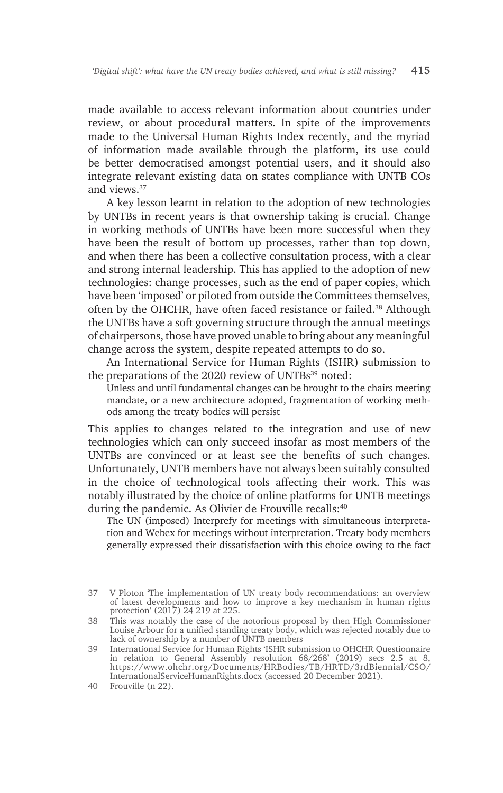made available to access relevant information about countries under review, or about procedural matters. In spite of the improvements made to the Universal Human Rights Index recently, and the myriad of information made available through the platform, its use could be better democratised amongst potential users, and it should also integrate relevant existing data on states compliance with UNTB COs and views.37

A key lesson learnt in relation to the adoption of new technologies by UNTBs in recent years is that ownership taking is crucial. Change in working methods of UNTBs have been more successful when they have been the result of bottom up processes, rather than top down, and when there has been a collective consultation process, with a clear and strong internal leadership. This has applied to the adoption of new technologies: change processes, such as the end of paper copies, which have been 'imposed' or piloted from outside the Committees themselves, often by the OHCHR, have often faced resistance or failed.38 Although the UNTBs have a soft governing structure through the annual meetings of chairpersons, those have proved unable to bring about any meaningful change across the system, despite repeated attempts to do so.

An International Service for Human Rights (ISHR) submission to the preparations of the 2020 review of UNTBs<sup>39</sup> noted:

Unless and until fundamental changes can be brought to the chairs meeting mandate, or a new architecture adopted, fragmentation of working methods among the treaty bodies will persist

This applies to changes related to the integration and use of new technologies which can only succeed insofar as most members of the UNTBs are convinced or at least see the benefits of such changes. Unfortunately, UNTB members have not always been suitably consulted in the choice of technological tools affecting their work. This was notably illustrated by the choice of online platforms for UNTB meetings during the pandemic. As Olivier de Frouville recalls:<sup>40</sup>

The UN (imposed) Interprefy for meetings with simultaneous interpretation and Webex for meetings without interpretation. Treaty body members generally expressed their dissatisfaction with this choice owing to the fact

<sup>37</sup> V Ploton 'The implementation of UN treaty body recommendations: an overview of latest developments and how to improve a key mechanism in human rights protection' (2017) 24 219 at 225.

<sup>38</sup> This was notably the case of the notorious proposal by then High Commissioner Louise Arbour for a unified standing treaty body, which was rejected notably due to lack of ownership by a number of UNTB members

<sup>39</sup> International Service for Human Rights 'ISHR submission to OHCHR Questionnaire in relation to General Assembly resolution 68/268' (2019) secs 2.5 at 8, https://www.ohchr.org/Documents/HRBodies/TB/HRTD/3rdBiennial/CSO/ InternationalServiceHumanRights.docx (accessed 20 December 2021).

<sup>40</sup> Frouville (n 22).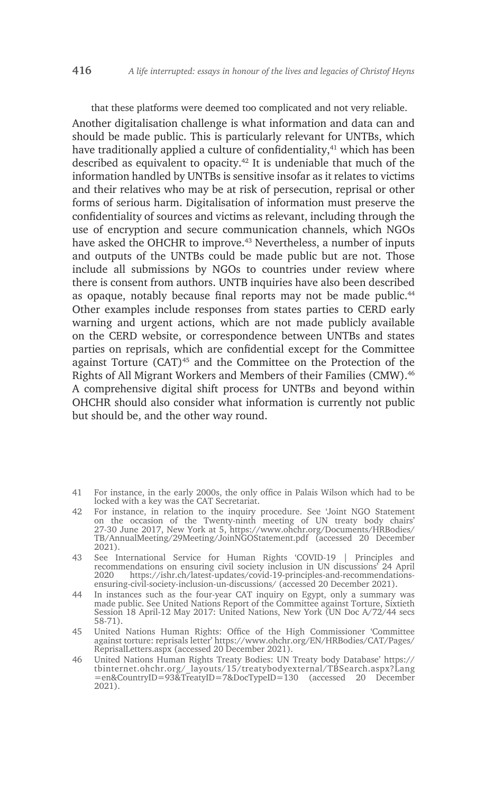that these platforms were deemed too complicated and not very reliable. Another digitalisation challenge is what information and data can and should be made public. This is particularly relevant for UNTBs, which have traditionally applied a culture of confidentiality,<sup>41</sup> which has been described as equivalent to opacity.<sup>42</sup> It is undeniable that much of the information handled by UNTBs is sensitive insofar as it relates to victims and their relatives who may be at risk of persecution, reprisal or other forms of serious harm. Digitalisation of information must preserve the confidentiality of sources and victims as relevant, including through the use of encryption and secure communication channels, which NGOs have asked the OHCHR to improve.<sup>43</sup> Nevertheless, a number of inputs and outputs of the UNTBs could be made public but are not. Those include all submissions by NGOs to countries under review where there is consent from authors. UNTB inquiries have also been described as opaque, notably because final reports may not be made public.<sup>44</sup> Other examples include responses from states parties to CERD early warning and urgent actions, which are not made publicly available on the CERD website, or correspondence between UNTBs and states parties on reprisals, which are confidential except for the Committee against Torture  $(CAT)^{45}$  and the Committee on the Protection of the Rights of All Migrant Workers and Members of their Families (CMW).<sup>46</sup> A comprehensive digital shift process for UNTBs and beyond within OHCHR should also consider what information is currently not public but should be, and the other way round.

- 41 For instance, in the early 2000s, the only office in Palais Wilson which had to be locked with a key was the CAT Secretariat.
- 42 For instance, in relation to the inquiry procedure. See 'Joint NGO Statement on the occasion of the Twenty-ninth meeting of UN treaty body chairs' 27-30 June 2017, New York at 5, https://www.ohchr.org/Documents/HRBodies/ TB/AnnualMeeting/29Meeting/JoinNGOStatement.pdf (accessed 20 December 2021).
- 43 See International Service for Human Rights 'COVID-19 | Principles and recommendations on ensuring civil society inclusion in UN discussions' 24 April 2020 https://ishr.ch/latest-updates/covid-19-principles-and-recommendationsensuring-civil-society-inclusion-un-discussions/ (accessed 20 December 2021).
- 44 In instances such as the four-year CAT inquiry on Egypt, only a summary was made public. See United Nations Report of the Committee against Torture, Sixtieth Session 18 April-12 May 2017: United Nations, New York (UN Doc A/72/44 secs 58-71).
- 45 United Nations Human Rights: Office of the High Commissioner 'Committee against torture: reprisals letter' https://www.ohchr.org/EN/HRBodies/CAT/Pages/ ReprisalLetters.aspx (accessed 20 December 2021).
- 46 United Nations Human Rights Treaty Bodies: UN Treaty body Database' https:// tbinternet.ohchr.org/\_layouts/15/treatybodyexternal/TBSearch.aspx?Lang =en&CountryID=93&TreatyID=7&DocTypeID=130 (accessed 20 December 2021).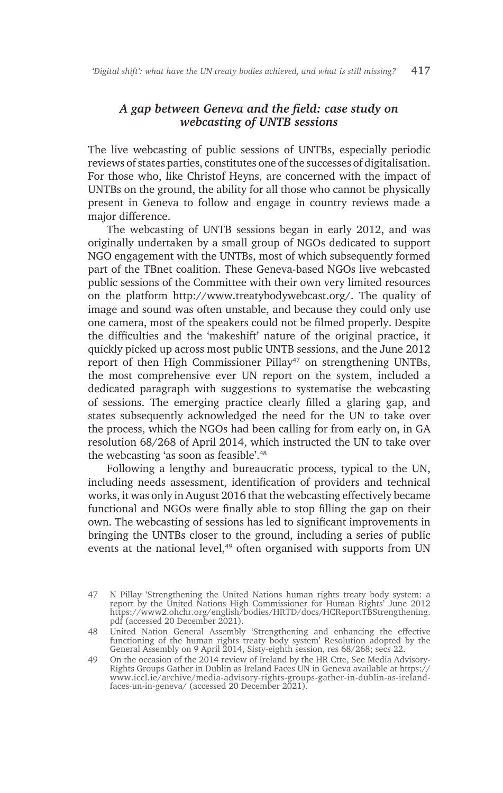#### *A gap between Geneva and the field: case study on webcasting of UNTB sessions*

The live webcasting of public sessions of UNTBs, especially periodic reviews of states parties, constitutes one of the successes of digitalisation. For those who, like Christof Heyns, are concerned with the impact of UNTBs on the ground, the ability for all those who cannot be physically present in Geneva to follow and engage in country reviews made a major difference.

The webcasting of UNTB sessions began in early 2012, and was originally undertaken by a small group of NGOs dedicated to support NGO engagement with the UNTBs, most of which subsequently formed part of the TBnet coalition. These Geneva-based NGOs live webcasted public sessions of the Committee with their own very limited resources on the platform http://www.treatybodywebcast.org/. The quality of image and sound was often unstable, and because they could only use one camera, most of the speakers could not be filmed properly. Despite the difficulties and the 'makeshift' nature of the original practice, it quickly picked up across most public UNTB sessions, and the June 2012 report of then High Commissioner Pillay<sup>47</sup> on strengthening UNTBs, the most comprehensive ever UN report on the system, included a dedicated paragraph with suggestions to systematise the webcasting of sessions. The emerging practice clearly filled a glaring gap, and states subsequently acknowledged the need for the UN to take over the process, which the NGOs had been calling for from early on, in GA resolution 68/268 of April 2014, which instructed the UN to take over the webcasting 'as soon as feasible'.48

Following a lengthy and bureaucratic process, typical to the UN, including needs assessment, identification of providers and technical works, it was only in August 2016 that the webcasting effectively became functional and NGOs were finally able to stop filling the gap on their own. The webcasting of sessions has led to significant improvements in bringing the UNTBs closer to the ground, including a series of public events at the national level,<sup>49</sup> often organised with supports from UN

<sup>47</sup> N Pillay 'Strengthening the United Nations human rights treaty body system: a report by the United Nations High Commissioner for Human Rights' June 2012 https://www2.ohchr.org/english/bodies/HRTD/docs/HCReportTBStrengthening. pdf (accessed 20 December 2021).

<sup>48</sup> United Nation General Assembly 'Strengthening and enhancing the effective functioning of the human rights treaty body system' Resolution adopted by the General Assembly on 9 April 2014, Sisty-eighth session, res 68/268; secs 22.

<sup>49</sup> On the occasion of the 2014 review of Ireland by the HR Ctte, See Media Advisory-Rights Groups Gather in Dublin as Ireland Faces UN in Geneva available at https:// www.iccl.ie/archive/media-advisory-rights-groups-gather-in-dublin-as-irelandfaces-un-in-geneva/ (accessed 20 December 2021).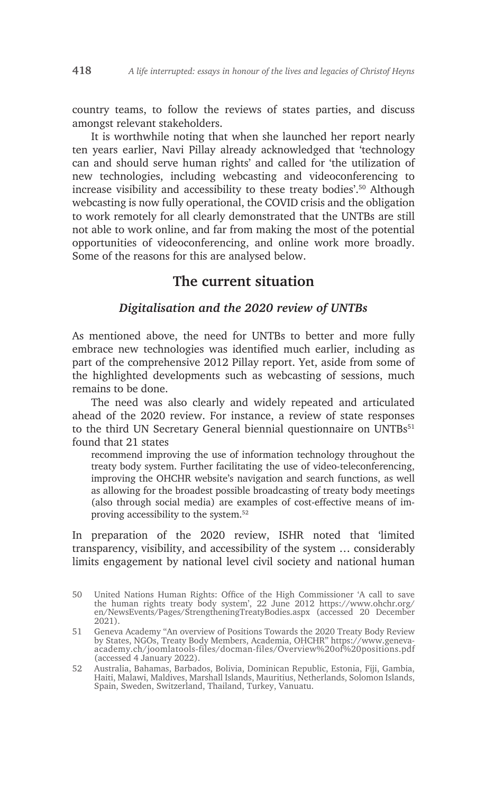country teams, to follow the reviews of states parties, and discuss amongst relevant stakeholders.

It is worthwhile noting that when she launched her report nearly ten years earlier, Navi Pillay already acknowledged that 'technology can and should serve human rights' and called for 'the utilization of new technologies, including webcasting and videoconferencing to increase visibility and accessibility to these treaty bodies'.50 Although webcasting is now fully operational, the COVID crisis and the obligation to work remotely for all clearly demonstrated that the UNTBs are still not able to work online, and far from making the most of the potential opportunities of videoconferencing, and online work more broadly. Some of the reasons for this are analysed below.

## **The current situation**

#### *Digitalisation and the 2020 review of UNTBs*

As mentioned above, the need for UNTBs to better and more fully embrace new technologies was identified much earlier, including as part of the comprehensive 2012 Pillay report. Yet, aside from some of the highlighted developments such as webcasting of sessions, much remains to be done.

The need was also clearly and widely repeated and articulated ahead of the 2020 review. For instance, a review of state responses to the third UN Secretary General biennial questionnaire on UNTBs<sup>51</sup> found that 21 states

recommend improving the use of information technology throughout the treaty body system. Further facilitating the use of video-teleconferencing, improving the OHCHR website's navigation and search functions, as well as allowing for the broadest possible broadcasting of treaty body meetings (also through social media) are examples of cost-effective means of improving accessibility to the system.52

In preparation of the 2020 review, ISHR noted that 'limited transparency, visibility, and accessibility of the system … considerably limits engagement by national level civil society and national human

<sup>50</sup> United Nations Human Rights: Office of the High Commissioner 'A call to save the human rights treaty body system', 22 June 2012 https://www.ohchr.org/ en/NewsEvents/Pages/StrengtheningTreatyBodies.aspx (accessed 20 December 2021).

<sup>51</sup> Geneva Academy "An overview of Positions Towards the 2020 Treaty Body Review by States, NGOs, Treaty Body Members, Academia, OHCHR" https://www.genevaacademy.ch/joomlatools-files/docman-files/Overview%20of%20positions.pdf (accessed 4 January 2022).

<sup>52</sup> Australia, Bahamas, Barbados, Bolivia, Dominican Republic, Estonia, Fiji, Gambia, Haiti, Malawi, Maldives, Marshall Islands, Mauritius, Netherlands, Solomon Islands, Spain, Sweden, Switzerland, Thailand, Turkey, Vanuatu.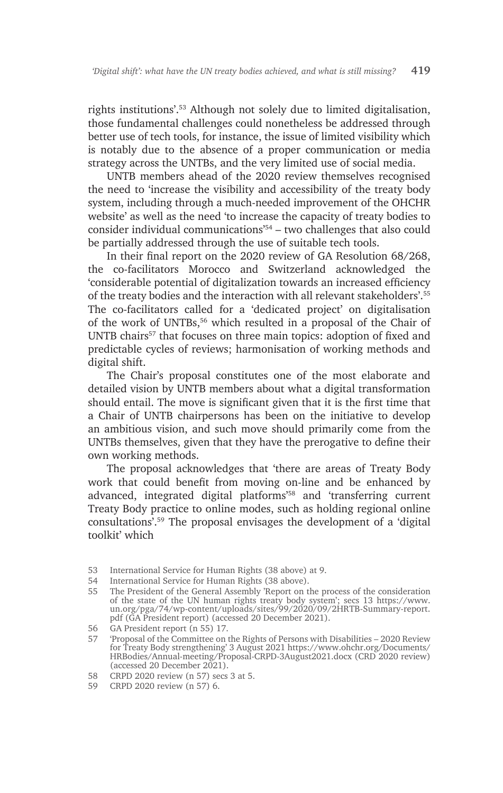rights institutions'.53 Although not solely due to limited digitalisation, those fundamental challenges could nonetheless be addressed through better use of tech tools, for instance, the issue of limited visibility which is notably due to the absence of a proper communication or media strategy across the UNTBs, and the very limited use of social media.

UNTB members ahead of the 2020 review themselves recognised the need to 'increase the visibility and accessibility of the treaty body system, including through a much-needed improvement of the OHCHR website' as well as the need 'to increase the capacity of treaty bodies to consider individual communications'54 – two challenges that also could be partially addressed through the use of suitable tech tools.

In their final report on the 2020 review of GA Resolution 68/268, the co-facilitators Morocco and Switzerland acknowledged the 'considerable potential of digitalization towards an increased efficiency of the treaty bodies and the interaction with all relevant stakeholders'.55 The co-facilitators called for a 'dedicated project' on digitalisation of the work of UNTBs,<sup>56</sup> which resulted in a proposal of the Chair of UNTB chairs<sup>57</sup> that focuses on three main topics: adoption of fixed and predictable cycles of reviews; harmonisation of working methods and digital shift.

The Chair's proposal constitutes one of the most elaborate and detailed vision by UNTB members about what a digital transformation should entail. The move is significant given that it is the first time that a Chair of UNTB chairpersons has been on the initiative to develop an ambitious vision, and such move should primarily come from the UNTBs themselves, given that they have the prerogative to define their own working methods.

The proposal acknowledges that 'there are areas of Treaty Body work that could benefit from moving on-line and be enhanced by advanced, integrated digital platforms'58 and 'transferring current Treaty Body practice to online modes, such as holding regional online consultations'.59 The proposal envisages the development of a 'digital toolkit' which

<sup>53</sup> International Service for Human Rights (38 above) at 9.

<sup>54</sup> International Service for Human Rights (38 above).

<sup>55</sup> The President of the General Assembly 'Report on the process of the consideration of the state of the UN human rights treaty body system'; secs 13 https://www. un.org/pga/74/wp-content/uploads/sites/99/2020/09/2HRTB-Summary-report. pdf (GA President report) (accessed 20 December 2021).

<sup>56</sup> GA President report (n 55) 17.

<sup>57</sup> 'Proposal of the Committee on the Rights of Persons with Disabilities – 2020 Review for Treaty Body strengthening' 3 August 2021 https://www.ohchr.org/Documents/ HRBodies/Annual-meeting/Proposal-CRPD-3August2021.docx (CRD 2020 review) (accessed 20 December 2021).

<sup>58</sup> CRPD 2020 review (n 57) secs 3 at 5.

<sup>59</sup> CRPD 2020 review (n 57) 6.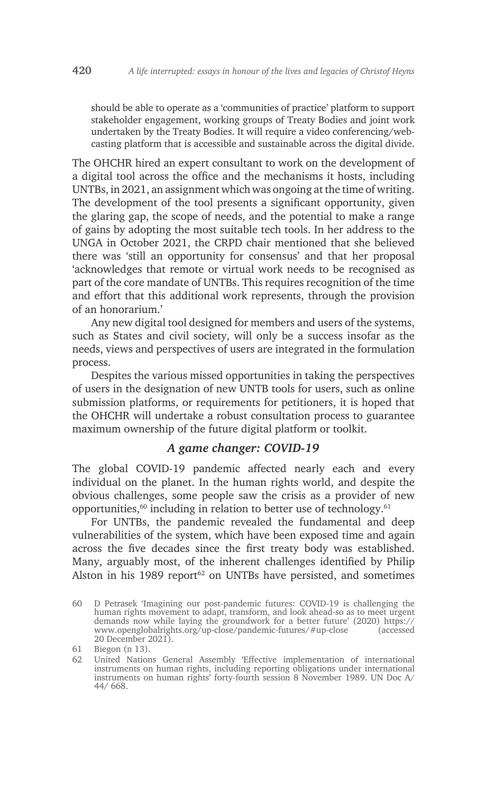should be able to operate as a 'communities of practice' platform to support stakeholder engagement, working groups of Treaty Bodies and joint work undertaken by the Treaty Bodies. It will require a video conferencing/webcasting platform that is accessible and sustainable across the digital divide.

The OHCHR hired an expert consultant to work on the development of a digital tool across the office and the mechanisms it hosts, including UNTBs, in 2021, an assignment which was ongoing at the time of writing. The development of the tool presents a significant opportunity, given the glaring gap, the scope of needs, and the potential to make a range of gains by adopting the most suitable tech tools. In her address to the UNGA in October 2021, the CRPD chair mentioned that she believed there was 'still an opportunity for consensus' and that her proposal 'acknowledges that remote or virtual work needs to be recognised as part of the core mandate of UNTBs. This requires recognition of the time and effort that this additional work represents, through the provision of an honorarium.'

Any new digital tool designed for members and users of the systems, such as States and civil society, will only be a success insofar as the needs, views and perspectives of users are integrated in the formulation process.

Despites the various missed opportunities in taking the perspectives of users in the designation of new UNTB tools for users, such as online submission platforms, or requirements for petitioners, it is hoped that the OHCHR will undertake a robust consultation process to guarantee maximum ownership of the future digital platform or toolkit.

#### *A game changer: COVID-19*

The global COVID-19 pandemic affected nearly each and every individual on the planet. In the human rights world, and despite the obvious challenges, some people saw the crisis as a provider of new opportunities, $60$  including in relation to better use of technology. $61$ 

For UNTBs, the pandemic revealed the fundamental and deep vulnerabilities of the system, which have been exposed time and again across the five decades since the first treaty body was established. Many, arguably most, of the inherent challenges identified by Philip Alston in his 1989 report $62$  on UNTBs have persisted, and sometimes

<sup>60</sup> D Petrasek 'Imagining our post-pandemic futures: COVID-19 is challenging the human rights movement to adapt, transform, and look ahead-so as to meet urgent demands now while laying the groundwork for a better future' (2020) https:// www.openglobalrights.org/up-close/pandemic-futures/#up-close (accessed 20 December 2021).

<sup>61</sup> Biegon (n 13).

<sup>62</sup> United Nations General Assembly 'Effective implementation of international instruments on human rights, including reporting obligations under international instruments on human rights' forty-fourth session 8 November 1989. UN Doc A/ 44/ 668.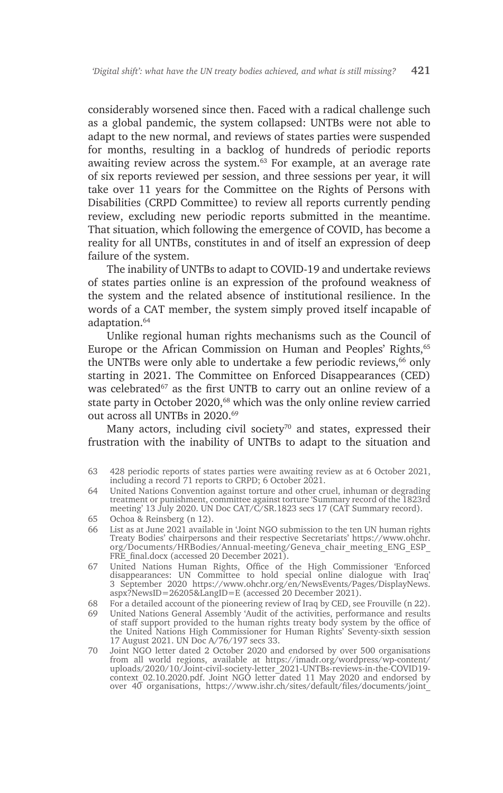considerably worsened since then. Faced with a radical challenge such as a global pandemic, the system collapsed: UNTBs were not able to adapt to the new normal, and reviews of states parties were suspended for months, resulting in a backlog of hundreds of periodic reports awaiting review across the system.<sup>63</sup> For example, at an average rate of six reports reviewed per session, and three sessions per year, it will take over 11 years for the Committee on the Rights of Persons with Disabilities (CRPD Committee) to review all reports currently pending review, excluding new periodic reports submitted in the meantime. That situation, which following the emergence of COVID, has become a reality for all UNTBs, constitutes in and of itself an expression of deep failure of the system.

The inability of UNTBs to adapt to COVID-19 and undertake reviews of states parties online is an expression of the profound weakness of the system and the related absence of institutional resilience. In the words of a CAT member, the system simply proved itself incapable of adaptation.<sup>64</sup>

Unlike regional human rights mechanisms such as the Council of Europe or the African Commission on Human and Peoples' Rights,<sup>65</sup> the UNTBs were only able to undertake a few periodic reviews,<sup>66</sup> only starting in 2021. The Committee on Enforced Disappearances (CED) was celebrated<sup>67</sup> as the first UNTB to carry out an online review of a state party in October 2020,<sup>68</sup> which was the only online review carried out across all UNTBs in 2020.<sup>69</sup>

Many actors, including civil society<sup>70</sup> and states, expressed their frustration with the inability of UNTBs to adapt to the situation and

- 68 For a detailed account of the pioneering review of Iraq by CED, see Frouville (n 22).
- 69 United Nations General Assembly 'Audit of the activities, performance and results of staff support provided to the human rights treaty body system by the office of the United Nations High Commissioner for Human Rights' Seventy-sixth session 17 August 2021. UN Doc A/76/197 secs 33.
- 70 Joint NGO letter dated 2 October 2020 and endorsed by over 500 organisations from all world regions, available at https://imadr.org/wordpress/wp-content/ uploads/2020/10/Joint-civil-society-letter\_2021-UNTBs-reviews-in-the-COVID19 context\_02.10.2020.pdf. Joint NGO letter dated 11 May 2020 and endorsed by over 40 organisations, https://www.ishr.ch/sites/default/files/documents/joint\_

<sup>63</sup> 428 periodic reports of states parties were awaiting review as at 6 October 2021, including a record 71 reports to CRPD; 6 October 2021.

<sup>64</sup> United Nations Convention against torture and other cruel, inhuman or degrading treatment or punishment, committee against torture 'Summary record of the 1823rd meeting' 13 July 2020. UN Doc CAT/C/SR.1823 secs 17 (CAT Summary record).

<sup>65</sup> Ochoa & Reinsberg (n 12).

<sup>66</sup> List as at June 2021 available in 'Joint NGO submission to the ten UN human rights Treaty Bodies' chairpersons and their respective Secretariats' https://www.ohchr. org/Documents/HRBodies/Annual-meeting/Geneva\_chair\_meeting\_ENG\_ESP\_ FRE final.docx (accessed 20 December 2021).

<sup>67</sup> United Nations Human Rights, Office of the High Commissioner 'Enforced disappearances: UN Committee to hold special online dialogue with Iraq' 3 September 2020 https://www.ohchr.org/en/NewsEvents/Pages/DisplayNews. aspx?NewsID=26205&LangID=E (accessed 20 December 2021).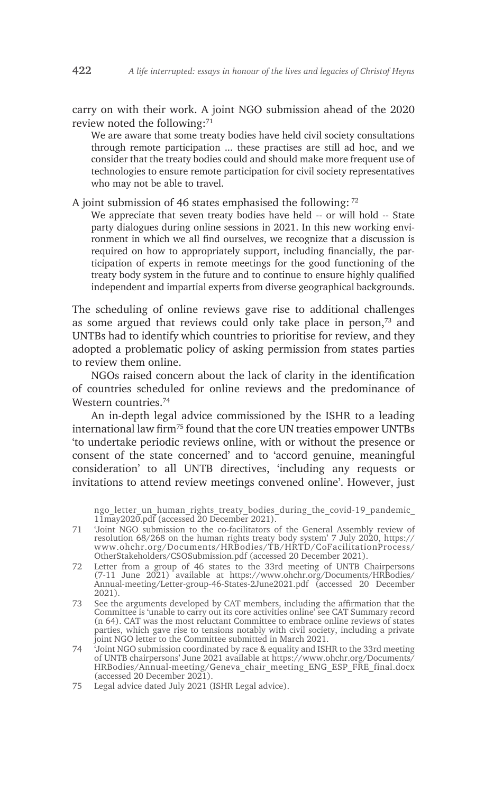carry on with their work. A joint NGO submission ahead of the 2020 review noted the following:71

We are aware that some treaty bodies have held civil society consultations through remote participation ... these practises are still ad hoc, and we consider that the treaty bodies could and should make more frequent use of technologies to ensure remote participation for civil society representatives who may not be able to travel.

A joint submission of 46 states emphasised the following: 72

We appreciate that seven treaty bodies have held -- or will hold -- State party dialogues during online sessions in 2021. In this new working environment in which we all find ourselves, we recognize that a discussion is required on how to appropriately support, including financially, the participation of experts in remote meetings for the good functioning of the treaty body system in the future and to continue to ensure highly qualified independent and impartial experts from diverse geographical backgrounds.

The scheduling of online reviews gave rise to additional challenges as some argued that reviews could only take place in person, $73$  and UNTBs had to identify which countries to prioritise for review, and they adopted a problematic policy of asking permission from states parties to review them online.

NGOs raised concern about the lack of clarity in the identification of countries scheduled for online reviews and the predominance of Western countries.74

An in-depth legal advice commissioned by the ISHR to a leading international law firm<sup>75</sup> found that the core UN treaties empower UNTBs 'to undertake periodic reviews online, with or without the presence or consent of the state concerned' and to 'accord genuine, meaningful consideration' to all UNTB directives, 'including any requests or invitations to attend review meetings convened online'. However, just

ngo letter un human rights treaty bodies during the covid-19 pandemic 11may2020.pdf (accessed 20 December 2021).

- 71 'Joint NGO submission to the co-facilitators of the General Assembly review of resolution 68/268 on the human rights treaty body system' 7 July 2020, https:// www.ohchr.org/Documents/HRBodies/TB/HRTD/CoFacilitationProcess/ OtherStakeholders/CSOSubmission.pdf (accessed 20 December 2021).
- 72 Letter from a group of 46 states to the 33rd meeting of UNTB Chairpersons (7-11 June 2021) available at https://www.ohchr.org/Documents/HRBodies/ Annual-meeting/Letter-group-46-States-2June2021.pdf (accessed 20 December 2021).
- 73 See the arguments developed by CAT members, including the affirmation that the Committee is 'unable to carry out its core activities online' see CAT Summary record (n 64). CAT was the most reluctant Committee to embrace online reviews of states parties, which gave rise to tensions notably with civil society, including a private joint NGO letter to the Committee submitted in March 2021.
- 74 'Joint NGO submission coordinated by race & equality and ISHR to the 33rd meeting of UNTB chairpersons' June 2021 available at https://www.ohchr.org/Documents/ HRBodies/Annual-meeting/Geneva\_chair\_meeting\_ENG\_ESP\_FRE\_final.docx (accessed 20 December 2021).
- 75 Legal advice dated July 2021 (ISHR Legal advice).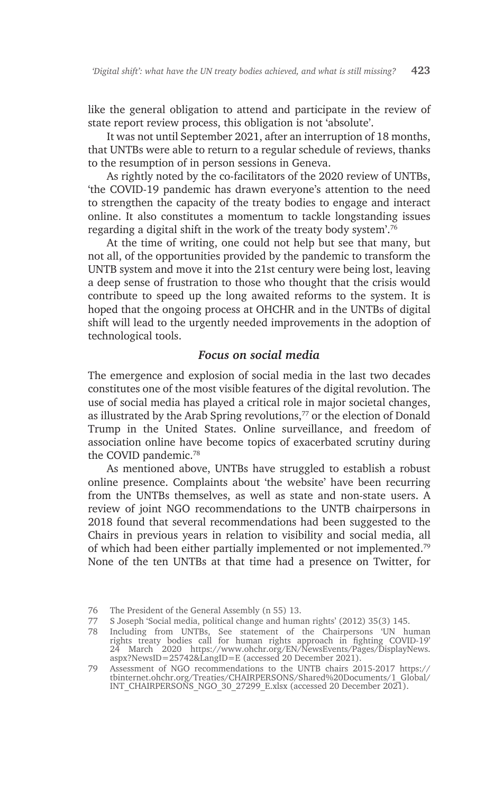like the general obligation to attend and participate in the review of state report review process, this obligation is not 'absolute'.

It was not until September 2021, after an interruption of 18 months, that UNTBs were able to return to a regular schedule of reviews, thanks to the resumption of in person sessions in Geneva.

As rightly noted by the co-facilitators of the 2020 review of UNTBs, 'the COVID-19 pandemic has drawn everyone's attention to the need to strengthen the capacity of the treaty bodies to engage and interact online. It also constitutes a momentum to tackle longstanding issues regarding a digital shift in the work of the treaty body system'.76

At the time of writing, one could not help but see that many, but not all, of the opportunities provided by the pandemic to transform the UNTB system and move it into the 21st century were being lost, leaving a deep sense of frustration to those who thought that the crisis would contribute to speed up the long awaited reforms to the system. It is hoped that the ongoing process at OHCHR and in the UNTBs of digital shift will lead to the urgently needed improvements in the adoption of technological tools.

#### *Focus on social media*

The emergence and explosion of social media in the last two decades constitutes one of the most visible features of the digital revolution. The use of social media has played a critical role in major societal changes, as illustrated by the Arab Spring revolutions,<sup>77</sup> or the election of Donald Trump in the United States. Online surveillance, and freedom of association online have become topics of exacerbated scrutiny during the COVID pandemic.78

As mentioned above, UNTBs have struggled to establish a robust online presence. Complaints about 'the website' have been recurring from the UNTBs themselves, as well as state and non-state users. A review of joint NGO recommendations to the UNTB chairpersons in 2018 found that several recommendations had been suggested to the Chairs in previous years in relation to visibility and social media, all of which had been either partially implemented or not implemented.79 None of the ten UNTBs at that time had a presence on Twitter, for

<sup>76</sup> The President of the General Assembly (n 55) 13.

<sup>77</sup> S Joseph 'Social media, political change and human rights' (2012) 35(3) 145.

<sup>78</sup> Including from UNTBs, See statement of the Chairpersons 'UN human rights treaty bodies call for human rights approach in fighting COVID-19' 24 March 2020 https://www.ohchr.org/EN/NewsEvents/Pages/DisplayNews. aspx?NewsID=25742&LangID=E (accessed 20 December 2021).

<sup>79</sup> Assessment of NGO recommendations to the UNTB chairs 2015-2017 https:// tbinternet.ohchr.org/Treaties/CHAIRPERSONS/Shared%20Documents/1\_Global/ INT\_CHAIRPERSONS\_NGO\_30\_27299\_E.xlsx (accessed 20 December 2021).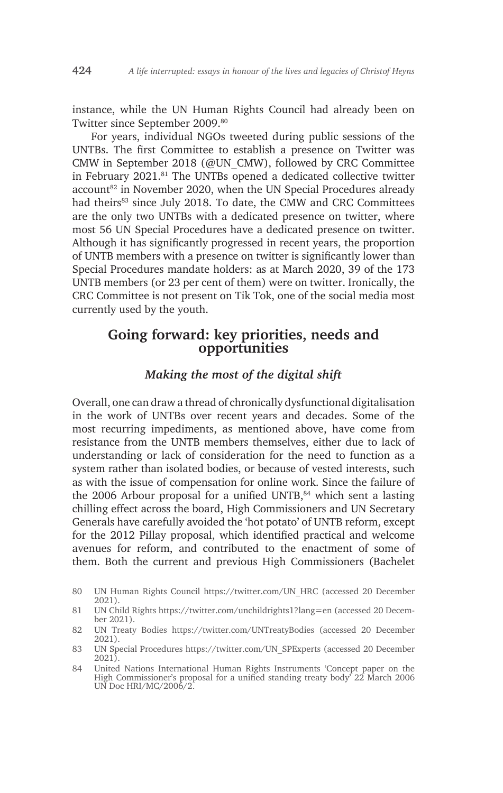instance, while the UN Human Rights Council had already been on Twitter since September 2009.80

For years, individual NGOs tweeted during public sessions of the UNTBs. The first Committee to establish a presence on Twitter was CMW in September 2018 (@UN\_CMW), followed by CRC Committee in February 2021.81 The UNTBs opened a dedicated collective twitter account<sup>82</sup> in November 2020, when the UN Special Procedures already had theirs<sup>83</sup> since July 2018. To date, the CMW and CRC Committees are the only two UNTBs with a dedicated presence on twitter, where most 56 UN Special Procedures have a dedicated presence on twitter. Although it has significantly progressed in recent years, the proportion of UNTB members with a presence on twitter is significantly lower than Special Procedures mandate holders: as at March 2020, 39 of the 173 UNTB members (or 23 per cent of them) were on twitter. Ironically, the CRC Committee is not present on Tik Tok, one of the social media most currently used by the youth.

# **Going forward: key priorities, needs and opportunities**

#### *Making the most of the digital shift*

Overall, one can draw a thread of chronically dysfunctional digitalisation in the work of UNTBs over recent years and decades. Some of the most recurring impediments, as mentioned above, have come from resistance from the UNTB members themselves, either due to lack of understanding or lack of consideration for the need to function as a system rather than isolated bodies, or because of vested interests, such as with the issue of compensation for online work. Since the failure of the 2006 Arbour proposal for a unified UNTB, $84$  which sent a lasting chilling effect across the board, High Commissioners and UN Secretary Generals have carefully avoided the 'hot potato' of UNTB reform, except for the 2012 Pillay proposal, which identified practical and welcome avenues for reform, and contributed to the enactment of some of them. Both the current and previous High Commissioners (Bachelet

- 81 UN Child Rights https://twitter.com/unchildrights1?lang=en (accessed 20 December 2021).
- 82 UN Treaty Bodies https://twitter.com/UNTreatyBodies (accessed 20 December 2021).
- 83 UN Special Procedures https://twitter.com/UN\_SPExperts (accessed 20 December 2021).
- 84 United Nations International Human Rights Instruments 'Concept paper on the High Commissioner's proposal for a unified standing treaty body' 22 March 2006 UN Doc HRI/MC/2006/2.

<sup>80</sup> UN Human Rights Council https://twitter.com/UN\_HRC (accessed 20 December 2021).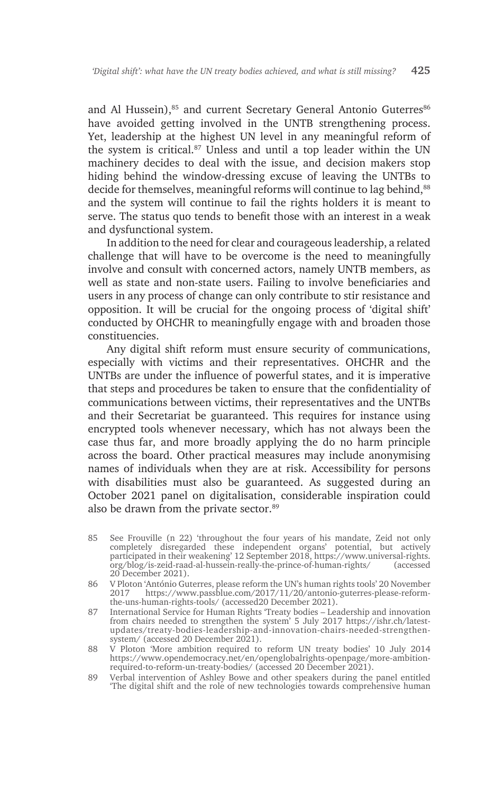and Al Hussein),<sup>85</sup> and current Secretary General Antonio Guterres<sup>86</sup> have avoided getting involved in the UNTB strengthening process. Yet, leadership at the highest UN level in any meaningful reform of the system is critical.<sup>87</sup> Unless and until a top leader within the UN machinery decides to deal with the issue, and decision makers stop hiding behind the window-dressing excuse of leaving the UNTBs to decide for themselves, meaningful reforms will continue to lag behind, 88 and the system will continue to fail the rights holders it is meant to serve. The status quo tends to benefit those with an interest in a weak and dysfunctional system.

In addition to the need for clear and courageous leadership, a related challenge that will have to be overcome is the need to meaningfully involve and consult with concerned actors, namely UNTB members, as well as state and non-state users. Failing to involve beneficiaries and users in any process of change can only contribute to stir resistance and opposition. It will be crucial for the ongoing process of 'digital shift' conducted by OHCHR to meaningfully engage with and broaden those constituencies.

Any digital shift reform must ensure security of communications, especially with victims and their representatives. OHCHR and the UNTBs are under the influence of powerful states, and it is imperative that steps and procedures be taken to ensure that the confidentiality of communications between victims, their representatives and the UNTBs and their Secretariat be guaranteed. This requires for instance using encrypted tools whenever necessary, which has not always been the case thus far, and more broadly applying the do no harm principle across the board. Other practical measures may include anonymising names of individuals when they are at risk. Accessibility for persons with disabilities must also be guaranteed. As suggested during an October 2021 panel on digitalisation, considerable inspiration could also be drawn from the private sector.<sup>89</sup>

- 85 See Frouville (n 22) 'throughout the four years of his mandate, Zeid not only completely disregarded these independent organs' potential, but actively participated in their weakening' 12 September 2018, https://www.universal-rights. org/blog/is-zeid-raad-al-hussein-really-the-prince-of-human-rights/ (accessed 20 December 2021).
- 86 V Ploton 'António Guterres, please reform the UN's human rights tools' 20 November 2017 https://www.passblue.com/2017/11/20/antonio-guterres-please-reformthe-uns-human-rights-tools/ (accessed20 December 2021).
- 87 International Service for Human Rights 'Treaty bodies Leadership and innovation from chairs needed to strengthen the system' 5 July 2017 https://ishr.ch/latestupdates/treaty-bodies-leadership-and-innovation-chairs-needed-strengthensystem/ (accessed 20 December 2021).
- 88 V Ploton 'More ambition required to reform UN treaty bodies' 10 July 2014 https://www.opendemocracy.net/en/openglobalrights-openpage/more-ambitionrequired-to-reform-un-treaty-bodies/ (accessed 20 December 2021).
- 89 Verbal intervention of Ashley Bowe and other speakers during the panel entitled 'The digital shift and the role of new technologies towards comprehensive human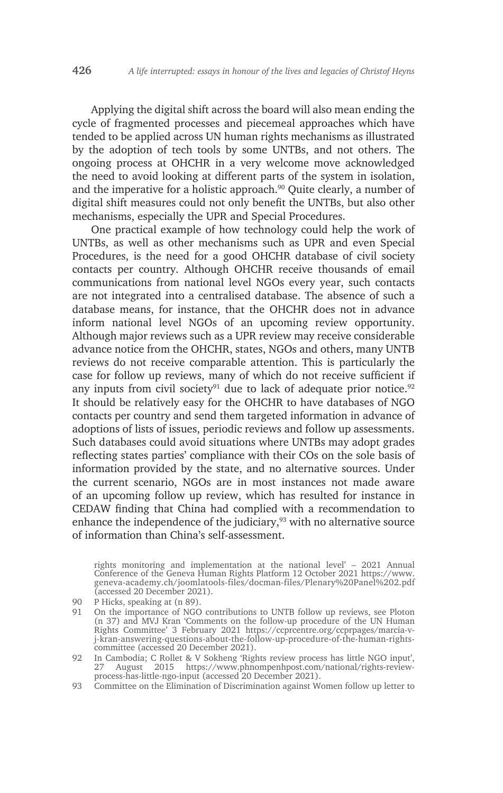Applying the digital shift across the board will also mean ending the cycle of fragmented processes and piecemeal approaches which have tended to be applied across UN human rights mechanisms as illustrated by the adoption of tech tools by some UNTBs, and not others. The ongoing process at OHCHR in a very welcome move acknowledged the need to avoid looking at different parts of the system in isolation, and the imperative for a holistic approach.<sup>90</sup> Quite clearly, a number of digital shift measures could not only benefit the UNTBs, but also other mechanisms, especially the UPR and Special Procedures.

One practical example of how technology could help the work of UNTBs, as well as other mechanisms such as UPR and even Special Procedures, is the need for a good OHCHR database of civil society contacts per country. Although OHCHR receive thousands of email communications from national level NGOs every year, such contacts are not integrated into a centralised database. The absence of such a database means, for instance, that the OHCHR does not in advance inform national level NGOs of an upcoming review opportunity. Although major reviews such as a UPR review may receive considerable advance notice from the OHCHR, states, NGOs and others, many UNTB reviews do not receive comparable attention. This is particularly the case for follow up reviews, many of which do not receive sufficient if any inputs from civil society<sup>91</sup> due to lack of adequate prior notice.<sup>92</sup> It should be relatively easy for the OHCHR to have databases of NGO contacts per country and send them targeted information in advance of adoptions of lists of issues, periodic reviews and follow up assessments. Such databases could avoid situations where UNTBs may adopt grades reflecting states parties' compliance with their COs on the sole basis of information provided by the state, and no alternative sources. Under the current scenario, NGOs are in most instances not made aware of an upcoming follow up review, which has resulted for instance in CEDAW finding that China had complied with a recommendation to enhance the independence of the judiciary, $93$  with no alternative source of information than China's self-assessment.

rights monitoring and implementation at the national level' – 2021 Annual Conference of the Geneva Human Rights Platform 12 October 2021 https://www. geneva-academy.ch/joomlatools-files/docman-files/Plenary%20Panel%202.pdf (accessed 20 December 2021).

93 Committee on the Elimination of Discrimination against Women follow up letter to

<sup>90</sup> P Hicks, speaking at (n 89).

<sup>91</sup> On the importance of NGO contributions to UNTB follow up reviews, see Ploton (n 37) and MVJ Kran 'Comments on the follow-up procedure of the UN Human Rights Committee' 3 February 2021 https://ccprcentre.org/ccprpages/marcia-vj-kran-answering-questions-about-the-follow-up-procedure-of-the-human-rightscommittee (accessed 20 December 2021).

<sup>92</sup> In Cambodia; C Rollet & V Sokheng 'Rights review process has little NGO input', 27 August 2015 https://www.phnompenhpost.com/national/rights-reviewprocess-has-little-ngo-input (accessed 20 December 2021).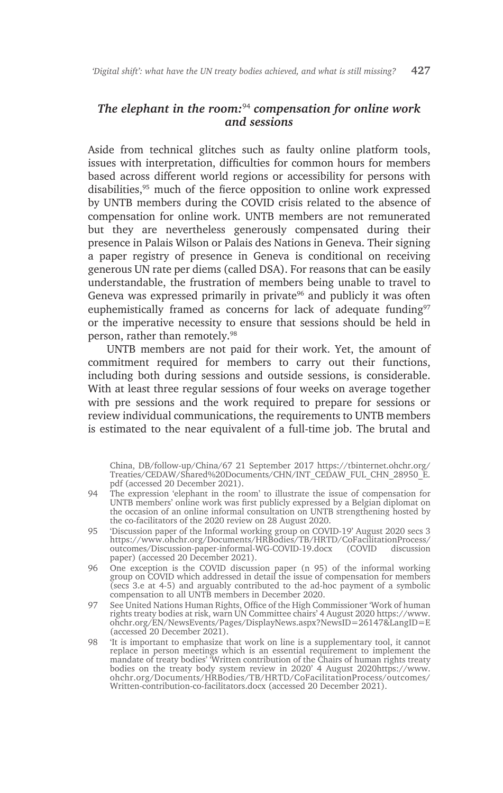## *The elephant in the room:*94 *compensation for online work and sessions*

Aside from technical glitches such as faulty online platform tools, issues with interpretation, difficulties for common hours for members based across different world regions or accessibility for persons with disabilities,<sup>95</sup> much of the fierce opposition to online work expressed by UNTB members during the COVID crisis related to the absence of compensation for online work. UNTB members are not remunerated but they are nevertheless generously compensated during their presence in Palais Wilson or Palais des Nations in Geneva. Their signing a paper registry of presence in Geneva is conditional on receiving generous UN rate per diems (called DSA). For reasons that can be easily understandable, the frustration of members being unable to travel to Geneva was expressed primarily in private $96$  and publicly it was often euphemistically framed as concerns for lack of adequate funding $97$ or the imperative necessity to ensure that sessions should be held in person, rather than remotely.98

UNTB members are not paid for their work. Yet, the amount of commitment required for members to carry out their functions, including both during sessions and outside sessions, is considerable. With at least three regular sessions of four weeks on average together with pre sessions and the work required to prepare for sessions or review individual communications, the requirements to UNTB members is estimated to the near equivalent of a full-time job. The brutal and

China, DB/follow-up/China/67 21 September 2017 https://tbinternet.ohchr.org/ Treaties/CEDAW/Shared%20Documents/CHN/INT\_CEDAW\_FUL\_CHN\_28950\_E. pdf (accessed 20 December 2021).

- 94 The expression 'elephant in the room' to illustrate the issue of compensation for UNTB members' online work was first publicly expressed by a Belgian diplomat on the occasion of an online informal consultation on UNTB strengthening hosted by the co-facilitators of the 2020 review on 28 August 2020.
- 95 'Discussion paper of the Informal working group on COVID-19' August 2020 secs 3 https://www.ohchr.org/Documents/HRBodies/TB/HRTD/CoFacilitationProcess/ outcomes/Discussion-paper-informal-WG-COVID-19.docx (COVID discussion paper) (accessed 20 December 2021).
- 96 One exception is the COVID discussion paper (n 95) of the informal working group on COVID which addressed in detail the issue of compensation for members (secs 3.e at 4-5) and arguably contributed to the ad-hoc payment of a symbolic compensation to all UNTB members in December 2020.
- 97 See United Nations Human Rights, Office of the High Commissioner 'Work of human rights treaty bodies at risk, warn UN Committee chairs' 4 August 2020 https://www. ohchr.org/EN/NewsEvents/Pages/DisplayNews.aspx?NewsID=26147&LangID=E (accessed 20 December 2021).
- 98 'It is important to emphasize that work on line is a supplementary tool, it cannot replace in person meetings which is an essential requirement to implement the mandate of treaty bodies' 'Written contribution of the Chairs of human rights treaty bodies on the treaty body system review in 2020' 4 August 2020https://www. ohchr.org/Documents/HRBodies/TB/HRTD/CoFacilitationProcess/outcomes/ Written-contribution-co-facilitators.docx (accessed 20 December 2021).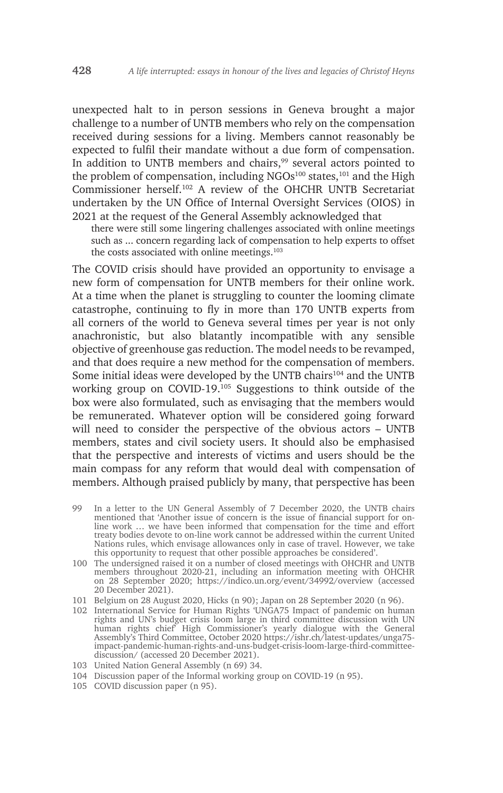unexpected halt to in person sessions in Geneva brought a major challenge to a number of UNTB members who rely on the compensation received during sessions for a living. Members cannot reasonably be expected to fulfil their mandate without a due form of compensation. In addition to UNTB members and chairs,<sup>99</sup> several actors pointed to the problem of compensation, including NGOs<sup>100</sup> states,<sup>101</sup> and the High Commissioner herself.102 A review of the OHCHR UNTB Secretariat undertaken by the UN Office of Internal Oversight Services (OIOS) in 2021 at the request of the General Assembly acknowledged that

there were still some lingering challenges associated with online meetings such as ... concern regarding lack of compensation to help experts to offset the costs associated with online meetings.<sup>103</sup>

The COVID crisis should have provided an opportunity to envisage a new form of compensation for UNTB members for their online work. At a time when the planet is struggling to counter the looming climate catastrophe, continuing to fly in more than 170 UNTB experts from all corners of the world to Geneva several times per year is not only anachronistic, but also blatantly incompatible with any sensible objective of greenhouse gas reduction. The model needs to be revamped, and that does require a new method for the compensation of members. Some initial ideas were developed by the UNTB chairs<sup>104</sup> and the UNTB working group on COVID-19.105 Suggestions to think outside of the box were also formulated, such as envisaging that the members would be remunerated. Whatever option will be considered going forward will need to consider the perspective of the obvious actors – UNTB members, states and civil society users. It should also be emphasised that the perspective and interests of victims and users should be the main compass for any reform that would deal with compensation of members. Although praised publicly by many, that perspective has been

- 99 In a letter to the UN General Assembly of 7 December 2020, the UNTB chairs mentioned that 'Another issue of concern is the issue of financial support for online work … we have been informed that compensation for the time and effort treaty bodies devote to on-line work cannot be addressed within the current United Nations rules, which envisage allowances only in case of travel. However, we take this opportunity to request that other possible approaches be considered'.
- 100 The undersigned raised it on a number of closed meetings with OHCHR and UNTB members throughout 2020-21, including an information meeting with OHCHR on 28 September 2020; https://indico.un.org/event/34992/overview (accessed 20 December 2021).
- 101 Belgium on 28 August 2020, Hicks (n 90); Japan on 28 September 2020 (n 96).
- 102 International Service for Human Rights 'UNGA75 Impact of pandemic on human rights and UN's budget crisis loom large in third committee discussion with UN human rights chief' High Commissioner's yearly dialogue with the General Assembly's Third Committee, October 2020 https://ishr.ch/latest-updates/unga75 impact-pandemic-human-rights-and-uns-budget-crisis-loom-large-third-committeediscussion/ (accessed 20 December 2021).
- 103 United Nation General Assembly (n 69) 34.
- 104 Discussion paper of the Informal working group on COVID-19 (n 95).
- 105 COVID discussion paper (n 95).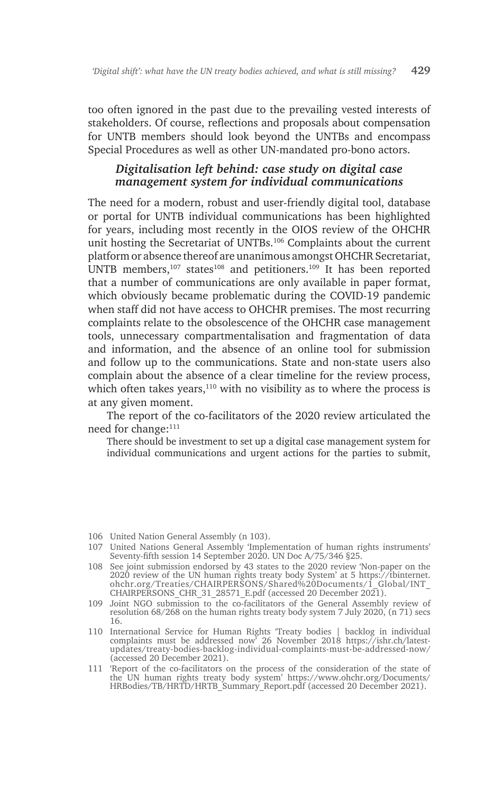too often ignored in the past due to the prevailing vested interests of stakeholders. Of course, reflections and proposals about compensation for UNTB members should look beyond the UNTBs and encompass Special Procedures as well as other UN-mandated pro-bono actors.

#### *Digitalisation left behind: case study on digital case management system for individual communications*

The need for a modern, robust and user-friendly digital tool, database or portal for UNTB individual communications has been highlighted for years, including most recently in the OIOS review of the OHCHR unit hosting the Secretariat of UNTBs.106 Complaints about the current platform or absence thereof are unanimous amongst OHCHR Secretariat, UNTB members,<sup>107</sup> states<sup>108</sup> and petitioners.<sup>109</sup> It has been reported that a number of communications are only available in paper format, which obviously became problematic during the COVID-19 pandemic when staff did not have access to OHCHR premises. The most recurring complaints relate to the obsolescence of the OHCHR case management tools, unnecessary compartmentalisation and fragmentation of data and information, and the absence of an online tool for submission and follow up to the communications. State and non-state users also complain about the absence of a clear timeline for the review process, which often takes years, $110$  with no visibility as to where the process is at any given moment.

The report of the co-facilitators of the 2020 review articulated the need for change:<sup>111</sup>

There should be investment to set up a digital case management system for individual communications and urgent actions for the parties to submit,

106 United Nation General Assembly (n 103).

- 107 United Nations General Assembly 'Implementation of human rights instruments' Seventy-fifth session 14 September 2020. UN Doc A/75/346 §25.
- 108 See joint submission endorsed by 43 states to the 2020 review 'Non-paper on the 2020 review of the UN human rights treaty body System' at 5 https://tbinternet. ohchr.org/Treaties/CHAIRPERSONS/Shared%20Documents/1\_Global/INT\_ CHAIRPERSONS\_CHR\_31\_28571\_E.pdf (accessed 20 December 2021).
- 109 Joint NGO submission to the co-facilitators of the General Assembly review of resolution 68/268 on the human rights treaty body system 7 July 2020, (n 71) secs 16.
- 110 International Service for Human Rights 'Treaty bodies | backlog in individual complaints must be addressed now' 26 November 2018 https://ishr.ch/latestupdates/treaty-bodies-backlog-individual-complaints-must-be-addressed-now/ (accessed 20 December 2021).
- 111 'Report of the co-facilitators on the process of the consideration of the state of the UN human rights treaty body system' https://www.ohchr.org/Documents/ HRBodies/TB/HRTD/HRTB\_Summary\_Report.pdf (accessed 20 December 2021).